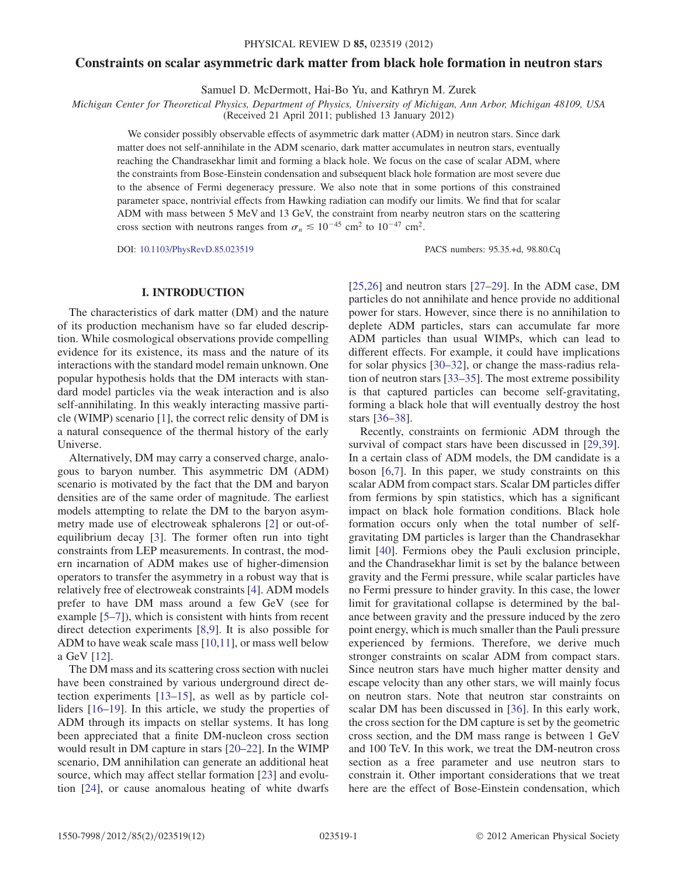# Constraints on scalar asymmetric dark matter from black hole formation in neutron stars

Samuel D. McDermott, Hai-Bo Yu, and Kathryn M. Zurek

Michigan Center for Theoretical Physics, Department of Physics, University of Michigan, Ann Arbor, Michigan 48109, USA

(Received 21 April 2011; published 13 January 2012)

We consider possibly observable effects of asymmetric dark matter (ADM) in neutron stars. Since dark matter does not self-annihilate in the ADM scenario, dark matter accumulates in neutron stars, eventually reaching the Chandrasekhar limit and forming a black hole. We focus on the case of scalar ADM, where the constraints from Bose-Einstein condensation and subsequent black hole formation are most severe due to the absence of Fermi degeneracy pressure. We also note that in some portions of this constrained parameter space, nontrivial effects from Hawking radiation can modify our limits. We find that for scalar ADM with mass between 5 MeV and 13 GeV, the constraint from nearby neutron stars on the scattering cross section with neutrons ranges from  $\sigma_n \leq 10^{-45}$  cm<sup>2</sup> to  $10^{-47}$  cm<sup>2</sup>.

DOI: [10.1103/PhysRevD.85.023519](http://dx.doi.org/10.1103/PhysRevD.85.023519) PACS numbers: 95.35.+d, 98.80.Cq

# I. INTRODUCTION

The characteristics of dark matter (DM) and the nature of its production mechanism have so far eluded description. While cosmological observations provide compelling evidence for its existence, its mass and the nature of its interactions with the standard model remain unknown. One popular hypothesis holds that the DM interacts with standard model particles via the weak interaction and is also self-annihilating. In this weakly interacting massive particle (WIMP) scenario [\[1\]](#page-10-0), the correct relic density of DM is a natural consequence of the thermal history of the early Universe.

Alternatively, DM may carry a conserved charge, analogous to baryon number. This asymmetric DM (ADM) scenario is motivated by the fact that the DM and baryon densities are of the same order of magnitude. The earliest models attempting to relate the DM to the baryon asymmetry made use of electroweak sphalerons [\[2](#page-10-1)] or out-ofequilibrium decay [\[3](#page-10-2)]. The former often run into tight constraints from LEP measurements. In contrast, the modern incarnation of ADM makes use of higher-dimension operators to transfer the asymmetry in a robust way that is relatively free of electroweak constraints [[4\]](#page-10-3). ADM models prefer to have DM mass around a few GeV (see for example [[5–](#page-10-4)[7](#page-10-5)]), which is consistent with hints from recent direct detection experiments [\[8](#page-10-6),[9](#page-10-7)]. It is also possible for ADM to have weak scale mass [\[10,](#page-10-8)[11\]](#page-10-9), or mass well below a GeV [[12](#page-10-10)].

The DM mass and its scattering cross section with nuclei have been constrained by various underground direct detection experiments [\[13–](#page-10-11)[15](#page-10-12)], as well as by particle colliders [[16](#page-10-13)[–19\]](#page-10-14). In this article, we study the properties of ADM through its impacts on stellar systems. It has long been appreciated that a finite DM-nucleon cross section would result in DM capture in stars [[20](#page-10-15)[–22\]](#page-10-16). In the WIMP scenario, DM annihilation can generate an additional heat source, which may affect stellar formation [\[23\]](#page-10-17) and evolution [[24](#page-10-18)], or cause anomalous heating of white dwarfs

[\[25](#page-10-19)[,26\]](#page-10-20) and neutron stars [\[27–](#page-10-21)[29](#page-10-22)]. In the ADM case, DM particles do not annihilate and hence provide no additional power for stars. However, since there is no annihilation to deplete ADM particles, stars can accumulate far more ADM particles than usual WIMPs, which can lead to different effects. For example, it could have implications for solar physics [[30](#page-10-23)[–32\]](#page-10-24), or change the mass-radius relation of neutron stars [\[33–](#page-10-25)[35](#page-10-26)]. The most extreme possibility is that captured particles can become self-gravitating, forming a black hole that will eventually destroy the host stars [[36](#page-11-0)[–38\]](#page-11-1).

Recently, constraints on fermionic ADM through the survival of compact stars have been discussed in [\[29,](#page-10-22)[39\]](#page-11-2). In a certain class of ADM models, the DM candidate is a boson [\[6](#page-10-27),[7](#page-10-5)]. In this paper, we study constraints on this scalar ADM from compact stars. Scalar DM particles differ from fermions by spin statistics, which has a significant impact on black hole formation conditions. Black hole formation occurs only when the total number of selfgravitating DM particles is larger than the Chandrasekhar limit [[40](#page-11-3)]. Fermions obey the Pauli exclusion principle, and the Chandrasekhar limit is set by the balance between gravity and the Fermi pressure, while scalar particles have no Fermi pressure to hinder gravity. In this case, the lower limit for gravitational collapse is determined by the balance between gravity and the pressure induced by the zero point energy, which is much smaller than the Pauli pressure experienced by fermions. Therefore, we derive much stronger constraints on scalar ADM from compact stars. Since neutron stars have much higher matter density and escape velocity than any other stars, we will mainly focus on neutron stars. Note that neutron star constraints on scalar DM has been discussed in [\[36\]](#page-11-0). In this early work, the cross section for the DM capture is set by the geometric cross section, and the DM mass range is between 1 GeV and 100 TeV. In this work, we treat the DM-neutron cross section as a free parameter and use neutron stars to constrain it. Other important considerations that we treat here are the effect of Bose-Einstein condensation, which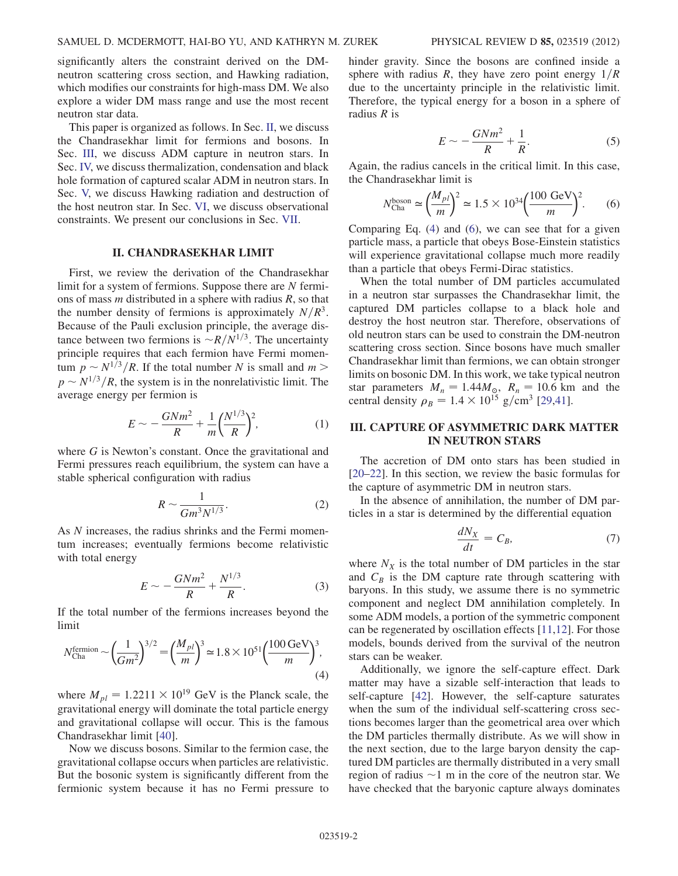significantly alters the constraint derived on the DMneutron scattering cross section, and Hawking radiation, which modifies our constraints for high-mass DM. We also explore a wider DM mass range and use the most recent neutron star data.

This paper is organized as follows. In Sec. [II](#page-1-0), we discuss the Chandrasekhar limit for fermions and bosons. In Sec. [III](#page-1-1), we discuss ADM capture in neutron stars. In Sec. [IV,](#page-3-0) we discuss thermalization, condensation and black hole formation of captured scalar ADM in neutron stars. In Sec. [V,](#page-5-0) we discuss Hawking radiation and destruction of the host neutron star. In Sec. [VI,](#page-6-0) we discuss observational constraints. We present our conclusions in Sec. [VII](#page-9-0).

## II. CHANDRASEKHAR LIMIT

<span id="page-1-0"></span>First, we review the derivation of the Chandrasekhar limit for a system of fermions. Suppose there are N fermions of mass  $m$  distributed in a sphere with radius  $R$ , so that the number density of fermions is approximately  $N/R<sup>3</sup>$ . Because of the Pauli exclusion principle, the average distance between two fermions is  $\sim R/N^{1/3}$ . The uncertainty principle requires that each fermion have Fermi momentum  $p \sim N^{1/3}/R$ . If the total number N is small and  $m >$  $p \sim N^{1/3}/R$ , the system is in the nonrelativistic limit. The average energy per fermion is

$$
E \sim -\frac{GNm^2}{R} + \frac{1}{m} \left(\frac{N^{1/3}}{R}\right)^2,\tag{1}
$$

where G is Newton's constant. Once the gravitational and Fermi pressures reach equilibrium, the system can have a stable spherical configuration with radius

$$
R \sim \frac{1}{Gm^3 N^{1/3}}.\tag{2}
$$

As N increases, the radius shrinks and the Fermi momentum increases; eventually fermions become relativistic with total energy

$$
E \sim -\frac{GNm^2}{R} + \frac{N^{1/3}}{R}.
$$
 (3)

<span id="page-1-2"></span>If the total number of the fermions increases beyond the limit

$$
N_{\text{Cha}}^{\text{fermion}} \sim \left(\frac{1}{Gm^2}\right)^{3/2} = \left(\frac{M_{pl}}{m}\right)^3 \approx 1.8 \times 10^{51} \left(\frac{100 \text{ GeV}}{m}\right)^3,\tag{4}
$$

where  $M_{pl} = 1.2211 \times 10^{19}$  GeV is the Planck scale, the gravitational energy will dominate the total particle energy and gravitational collapse will occur. This is the famous Chandrasekhar limit [\[40\]](#page-11-3).

Now we discuss bosons. Similar to the fermion case, the gravitational collapse occurs when particles are relativistic. But the bosonic system is significantly different from the fermionic system because it has no Fermi pressure to hinder gravity. Since the bosons are confined inside a sphere with radius R, they have zero point energy  $1/R$ due to the uncertainty principle in the relativistic limit. Therefore, the typical energy for a boson in a sphere of radius  $R$  is

$$
E \sim -\frac{GNm^2}{R} + \frac{1}{R}.\tag{5}
$$

<span id="page-1-3"></span>Again, the radius cancels in the critical limit. In this case, the Chandrasekhar limit is

$$
N_{\text{Cha}}^{\text{boson}} \simeq \left(\frac{M_{pl}}{m}\right)^2 \simeq 1.5 \times 10^{34} \left(\frac{100 \text{ GeV}}{m}\right)^2. \tag{6}
$$

Comparing Eq. [\(4](#page-1-2)) and ([6](#page-1-3)), we can see that for a given particle mass, a particle that obeys Bose-Einstein statistics will experience gravitational collapse much more readily than a particle that obeys Fermi-Dirac statistics.

When the total number of DM particles accumulated in a neutron star surpasses the Chandrasekhar limit, the captured DM particles collapse to a black hole and destroy the host neutron star. Therefore, observations of old neutron stars can be used to constrain the DM-neutron scattering cross section. Since bosons have much smaller Chandrasekhar limit than fermions, we can obtain stronger limits on bosonic DM. In this work, we take typical neutron star parameters  $M_n = 1.44M_{\odot}$ ,  $R_n = 10.6$  km and the central density  $\rho_B = 1.4 \times 10^{15} \text{ g/cm}^3$  [\[29,](#page-10-22)[41\]](#page-11-4).

# <span id="page-1-1"></span>III. CAPTURE OF ASYMMETRIC DARK MATTER IN NEUTRON STARS

The accretion of DM onto stars has been studied in [\[20–](#page-10-15)[22\]](#page-10-16). In this section, we review the basic formulas for the capture of asymmetric DM in neutron stars.

<span id="page-1-4"></span>In the absence of annihilation, the number of DM particles in a star is determined by the differential equation

$$
\frac{dN_X}{dt} = C_B,\t\t(7)
$$

where  $N_X$  is the total number of DM particles in the star and  $C_B$  is the DM capture rate through scattering with baryons. In this study, we assume there is no symmetric component and neglect DM annihilation completely. In some ADM models, a portion of the symmetric component can be regenerated by oscillation effects [[11](#page-10-9),[12](#page-10-10)]. For those models, bounds derived from the survival of the neutron stars can be weaker.

Additionally, we ignore the self-capture effect. Dark matter may have a sizable self-interaction that leads to self-capture [\[42\]](#page-11-5). However, the self-capture saturates when the sum of the individual self-scattering cross sections becomes larger than the geometrical area over which the DM particles thermally distribute. As we will show in the next section, due to the large baryon density the captured DM particles are thermally distributed in a very small region of radius  $\sim$ 1 m in the core of the neutron star. We have checked that the harvonic canture always dominates have checked that the baryonic capture always dominates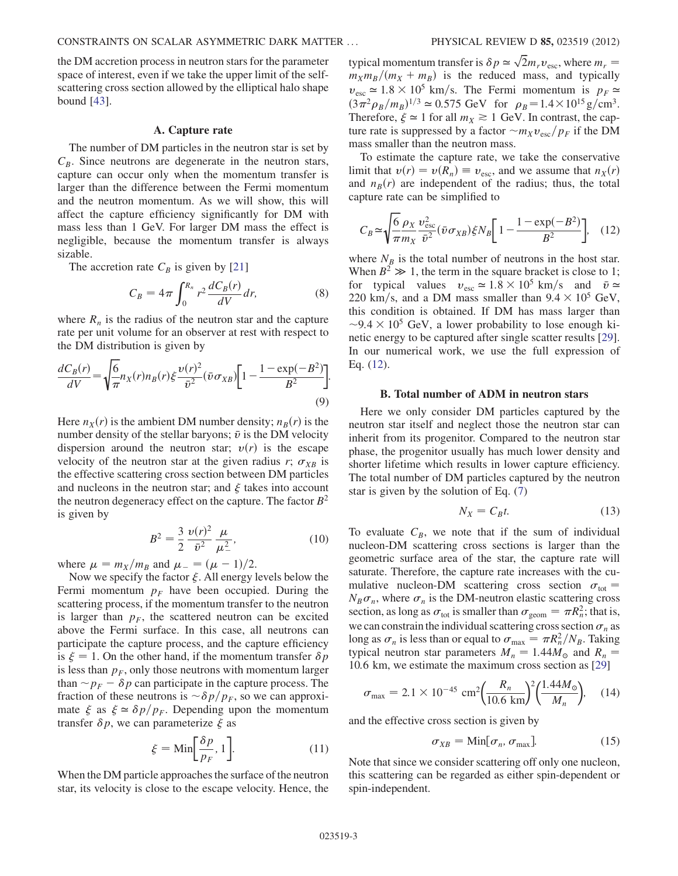the DM accretion process in neutron stars for the parameter space of interest, even if we take the upper limit of the selfscattering cross section allowed by the elliptical halo shape bound [[43](#page-11-6)].

### A. Capture rate

The number of DM particles in the neutron star is set by  $C_B$ . Since neutrons are degenerate in the neutron stars, capture can occur only when the momentum transfer is larger than the difference between the Fermi momentum and the neutron momentum. As we will show, this will affect the capture efficiency significantly for DM with mass less than 1 GeV. For larger DM mass the effect is negligible, because the momentum transfer is always sizable.

The accretion rate  $C_B$  is given by [[21](#page-10-28)]

$$
C_B = 4\pi \int_0^{R_n} r^2 \frac{dC_B(r)}{dV} dr,
$$
 (8)

where  $R_n$  is the radius of the neutron star and the capture rate per unit volume for an observer at rest with respect to the DM distribution is given by

$$
\frac{dC_B(r)}{dV} = \sqrt{\frac{6}{\pi}} n_X(r) n_B(r) \xi \frac{\nu(r)^2}{\bar{v}^2} (\bar{v} \sigma_{XB}) \left[ 1 - \frac{1 - \exp(-B^2)}{B^2} \right].
$$
\n(9)

Here  $n_X(r)$  is the ambient DM number density;  $n_B(r)$  is the number density of the stellar baryons;  $\bar{v}$  is the DM velocity dispersion around the neutron star;  $v(r)$  is the escape velocity of the neutron star at the given radius r;  $\sigma_{XB}$  is the effective scattering cross section between DM particles and nucleons in the neutron star; and  $\xi$  takes into account the neutron degeneracy effect on the capture. The factor  $B^2$ is given by

$$
B^{2} = \frac{3}{2} \frac{\nu(r)^{2}}{\bar{\nu}^{2}} \frac{\mu}{\mu_{-}^{2}},
$$
 (10)

where  $\mu = m_X/m_B$  and  $\mu = (\mu - 1)/2$ .<br>Now we specify the factor  $\xi$  All energy l

Now we specify the factor  $\xi$ . All energy levels below the Fermi momentum  $p_F$  have been occupied. During the scattering process, if the momentum transfer to the neutron is larger than  $p_F$ , the scattered neutron can be excited above the Fermi surface. In this case, all neutrons can participate the capture process, and the capture efficiency is  $\xi = 1$ . On the other hand, if the momentum transfer  $\delta p$ is less than  $p_F$ , only those neutrons with momentum larger than  $\sim p_F - \delta p$  can participate in the capture process. The fraction of these neutrons is  $\sim \delta p/p_F$ , so we can approximate  $\xi$  as  $\xi \simeq \delta p/p_F$ . Depending upon the momentum transfer  $\delta p$ , we can parameterize  $\xi$  as

$$
\xi = \text{Min}\bigg[\frac{\delta p}{p_F}, 1\bigg].\tag{11}
$$

<span id="page-2-1"></span>When the DM particle approaches the surface of the neutron star, its velocity is close to the escape velocity. Hence, the

typical momentum transfer is  $\delta p \simeq \sqrt{2} m_r v_{\text{esc}}$ , where  $m_r = m_r m_r / (m_r + m_s)$  is the reduced mass and typically  $m_X m_B/(m_X + m_B)$  is the reduced mass, and typically  $v_{\rm esc} \simeq 1.8 \times 10^5$  km/s. The Fermi momentum is  $p_F \simeq$  $(3\pi^2 \rho_B/m_B)^{1/3} \approx 0.575$  GeV for  $\rho_B = 1.4 \times 10^{15}$  g/cm<sup>3</sup>.<br>Therefore  $\xi \approx 1$  for all  $m_v \ge 1$  GeV In contrast the can-Therefore,  $\xi \approx 1$  for all  $m_X \gtrsim 1$  GeV. In contrast, the capture rate is suppressed by a factor  $\sim m_X v_{\text{esc}}/p_F$  if the DM<br>mass smaller than the neutron mass mass smaller than the neutron mass.

To estimate the capture rate, we take the conservative limit that  $v(r) = v(R_n) \equiv v_{\text{esc}}$ , and we assume that  $n_X(r)$ and  $n_B(r)$  are independent of the radius; thus, the total capture rate can be simplified to

<span id="page-2-0"></span>
$$
C_B \simeq \sqrt{\frac{6 \rho_X}{\pi m_X}} \frac{v_{\rm esc}^2}{\bar{v}^2} (\bar{v} \sigma_{XB}) \xi N_B \left[ 1 - \frac{1 - \exp(-B^2)}{B^2} \right], \quad (12)
$$

where  $N_B$  is the total number of neutrons in the host star. When  $B^2 \gg 1$ , the term in the square bracket is close to 1; for typical values  $v_{\text{esc}} \approx 1.8 \times 10^5 \text{ km/s}$  and  $\bar{v} \approx$ 220 km/s, and a DM mass smaller than  $9.4 \times 10^5$  GeV, this condition is obtained. If DM has mass larger than  $\sim$ 9.4  $\times$  10<sup>5</sup> GeV, a lower probability to lose enough kinetic energy to be captured after single scatter results [29] netic energy to be captured after single scatter results [[29\]](#page-10-22). In our numerical work, we use the full expression of Eq. ([12](#page-2-0)).

### B. Total number of ADM in neutron stars

Here we only consider DM particles captured by the neutron star itself and neglect those the neutron star can inherit from its progenitor. Compared to the neutron star phase, the progenitor usually has much lower density and shorter lifetime which results in lower capture efficiency. The total number of DM particles captured by the neutron star is given by the solution of Eq. ([7](#page-1-4))

$$
N_X = C_B t. \tag{13}
$$

To evaluate  $C_B$ , we note that if the sum of individual nucleon-DM scattering cross sections is larger than the geometric surface area of the star, the capture rate will saturate. Therefore, the capture rate increases with the cumulative nucleon-DM scattering cross section  $\sigma_{\text{tot}} =$  $N_B\sigma_n$ , where  $\sigma_n$  is the DM-neutron elastic scattering cross section, as long as  $\sigma_{\text{tot}}$  is smaller than  $\sigma_{\text{geom}} = \pi R_n^2$ ; that is, we can constrain the individual scattering cross section  $\sigma_n$  as long as  $\sigma_n$  is less than or equal to  $\sigma_{\text{max}} = \pi R_n^2 / N_B$ . Taking<br>typical neutron star parameters  $M_1 = 1.44 M_1$  and  $B_1 =$ typical neutron star parameters  $M_n = 1.44M_{\odot}$  and  $R_n =$ 10:6 km, we estimate the maximum cross section as [[29](#page-10-22)]

$$
\sigma_{\text{max}} = 2.1 \times 10^{-45} \text{ cm}^2 \left(\frac{R_n}{10.6 \text{ km}}\right)^2 \left(\frac{1.44 M_\odot}{M_n}\right), \quad (14)
$$

and the effective cross section is given by

$$
\sigma_{XB} = \text{Min}[\sigma_n, \sigma_{\text{max}}]. \tag{15}
$$

Note that since we consider scattering off only one nucleon, this scattering can be regarded as either spin-dependent or spin-independent.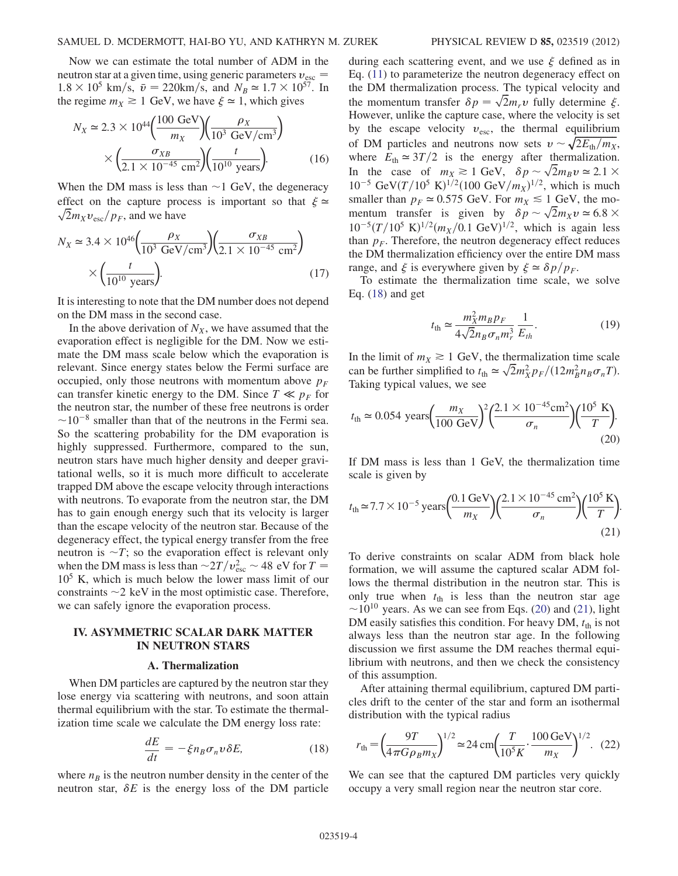Now we can estimate the total number of ADM in the neutron star at a given time, using generic parameters  $v_{\text{esc}} =$ <br>1.8  $\times$  10<sup>5</sup> km/s,  $\bar{v} = 220$ km/s, and  $N_{\text{sc}} \approx 1.7 \times 10^{57}$ . In  $1.8 \times 10^5$  km/s,  $\bar{v} = 220$ km/s, and  $N_B \approx 1.7 \times 10^{57}$ . In the regime  $m_v \ge 1$  GeV we have  $\xi \approx 1$  which gives the regime  $m_X \ge 1$  GeV, we have  $\xi \approx 1$ , which gives

<span id="page-3-5"></span>
$$
N_X \approx 2.3 \times 10^{44} \left(\frac{100 \text{ GeV}}{m_X}\right) \left(\frac{\rho_X}{10^3 \text{ GeV/cm}^3}\right) \times \left(\frac{\sigma_{XB}}{2.1 \times 10^{-45} \text{ cm}^2}\right) \left(\frac{t}{10^{10} \text{ years}}\right).
$$
 (16)

When the DM mass is less than  $\sim$ 1 GeV, the degeneracy effect on the capture process is important so that  $\xi \approx$  $\sqrt{2}m_Xv_{\text{esc}}/p_F$ , and we have

<span id="page-3-6"></span>
$$
N_X \approx 3.4 \times 10^{46} \left( \frac{\rho_X}{10^3 \text{ GeV/cm}^3} \right) \left( \frac{\sigma_{XB}}{2.1 \times 10^{-45} \text{ cm}^2} \right) \times \left( \frac{t}{10^{10} \text{ years}} \right).
$$
 (17)

It is interesting to note that the DM number does not depend on the DM mass in the second case.

In the above derivation of  $N_X$ , we have assumed that the evaporation effect is negligible for the DM. Now we estimate the DM mass scale below which the evaporation is relevant. Since energy states below the Fermi surface are occupied, only those neutrons with momentum above  $p_F$ can transfer kinetic energy to the DM. Since  $T \ll p_F$  for the neutron star, the number of these free neutrons is order  $\sim 10^{-8}$  smaller than that of the neutrons in the Fermi sea.<br>So the scattering probability for the DM evaporation is So the scattering probability for the DM evaporation is highly suppressed. Furthermore, compared to the sun, neutron stars have much higher density and deeper gravitational wells, so it is much more difficult to accelerate trapped DM above the escape velocity through interactions with neutrons. To evaporate from the neutron star, the DM has to gain enough energy such that its velocity is larger than the escape velocity of the neutron star. Because of the degeneracy effect, the typical energy transfer from the free neutron is  $\sim T$ ; so the evaporation effect is relevant only when the DM mass is less than  $\sim 2T/v_{\rm esc}^2 \sim 48$  eV for  $T = 10^5$  K, which is much below the lower mass limit of our  $10<sup>5</sup>$  K, which is much below the lower mass limit of our constraints  $\sim$  2 keV in the most optimistic case. Therefore, we can safely joint the evanoration process we can safely ignore the evaporation process.

# <span id="page-3-0"></span>IV. ASYMMETRIC SCALAR DARK MATTER IN NEUTRON STARS

### A. Thermalization

<span id="page-3-7"></span>When DM particles are captured by the neutron star they lose energy via scattering with neutrons, and soon attain thermal equilibrium with the star. To estimate the thermalization time scale we calculate the DM energy loss rate:

$$
\frac{dE}{dt} = -\xi n_B \sigma_n v \delta E,\tag{18}
$$

<span id="page-3-1"></span>where  $n_B$  is the neutron number density in the center of the neutron star,  $\delta E$  is the energy loss of the DM particle during each scattering event, and we use  $\xi$  defined as in Eq. ([11](#page-2-1)) to parameterize the neutron degeneracy effect on the DM thermalization process. The typical velocity and the momentum transfer  $\delta p = \sqrt{2}m_r v$  fully determine  $\xi$ . However, unlike the capture case, where the velocity is set by the escape velocity  $v_{\text{esc}}$ , the thermal equilibrium of DM particles and neutrons now sets  $v \sim \sqrt{2E_{\text{th}}/m_X}$ ,<br>where  $F_i \approx 3T/2$  is the energy after thermalization where  $E_{\text{th}} \approx 3T/2$  is the energy after thermalization. In the case of  $m_X \ge 1$  GeV,  $\delta p \sim \sqrt{2} m_B v \approx 2.1 \times 10^{-5}$  GeV( $\tau/10^5$  K)<sup>1/2</sup>(100 GeV( $m_{\tau}$ )<sup>1/2</sup> which is much  $10^{-5}$  GeV $(T/10^5$  K) $^{1/2}$ (100 GeV $/m_X$ )<sup>1/2</sup>, which is much<br>smaller than  $n_E \approx 0.575$  GeV. For  $m_V \le 1$  GeV, the mosmaller than  $p_F \approx 0.575$  GeV. For  $m_X \le 1$  GeV, the momentum transfer is given by  $\delta p \sim \sqrt{2} m_X v \approx 6.8 \times 10^{-5} (T/10^5 \text{ K})^{1/2} (m_{\odot}/0.1 \text{ GeV})^{1/2}$  which is again less  $10^{-5}(T/10^5 \text{ K})^{1/2}(m_X/0.1 \text{ GeV})^{1/2}$ , which is again less than  $p_F$ . Therefore, the neutron degeneracy effect reduces the DM thermalization efficiency over the entire DM mass range, and  $\xi$  is everywhere given by  $\xi \approx \delta p/p_F$ .

To estimate the thermalization time scale, we solve Eq. ([18](#page-3-1)) and get

$$
t_{\rm th} \simeq \frac{m_X^2 m_B p_F}{4\sqrt{2}n_B \sigma_n m_r^3} \frac{1}{E_{th}}.
$$
 (19)

In the limit of  $m_X \ge 1$  GeV, the thermalization time scale can be further simplified to  $t_{\text{th}} \simeq \sqrt{2} m_{X}^{2} p_{F} / (12 m_{B}^{2} n_{B} \sigma_{n} T)$ .<br>Taking typical values, we see Taking typical values, we see

<span id="page-3-2"></span>
$$
t_{\rm th} \simeq 0.054 \text{ years} \left(\frac{m_X}{100 \text{ GeV}}\right)^2 \left(\frac{2.1 \times 10^{-45} \text{cm}^2}{\sigma_n}\right) \left(\frac{10^5 \text{ K}}{T}\right). \tag{20}
$$

<span id="page-3-3"></span>If DM mass is less than 1 GeV, the thermalization time scale is given by

$$
t_{\text{th}} \approx 7.7 \times 10^{-5} \text{ years} \left( \frac{0.1 \text{ GeV}}{m_X} \right) \left( \frac{2.1 \times 10^{-45} \text{ cm}^2}{\sigma_n} \right) \left( \frac{10^5 \text{ K}}{T} \right).
$$
 (21)

To derive constraints on scalar ADM from black hole formation, we will assume the captured scalar ADM follows the thermal distribution in the neutron star. This is only true when  $t_{\text{th}}$  is less than the neutron star age  $\sim$ 10<sup>10</sup> years. As we can see from Eqs. [\(20\)](#page-3-2) and [\(21\)](#page-3-3), light DM easily satisfies this condition. For heavy DM  $t_0$  is not DM easily satisfies this condition. For heavy DM,  $t<sub>th</sub>$  is not always less than the neutron star age. In the following discussion we first assume the DM reaches thermal equilibrium with neutrons, and then we check the consistency of this assumption.

<span id="page-3-4"></span>After attaining thermal equilibrium, captured DM particles drift to the center of the star and form an isothermal distribution with the typical radius

$$
r_{\text{th}} = \left(\frac{9T}{4\pi G \rho_B m_X}\right)^{1/2} \simeq 24 \text{ cm} \left(\frac{T}{10^5 K} \cdot \frac{100 \text{ GeV}}{m_X}\right)^{1/2}.
$$
 (22)

We can see that the captured DM particles very quickly occupy a very small region near the neutron star core.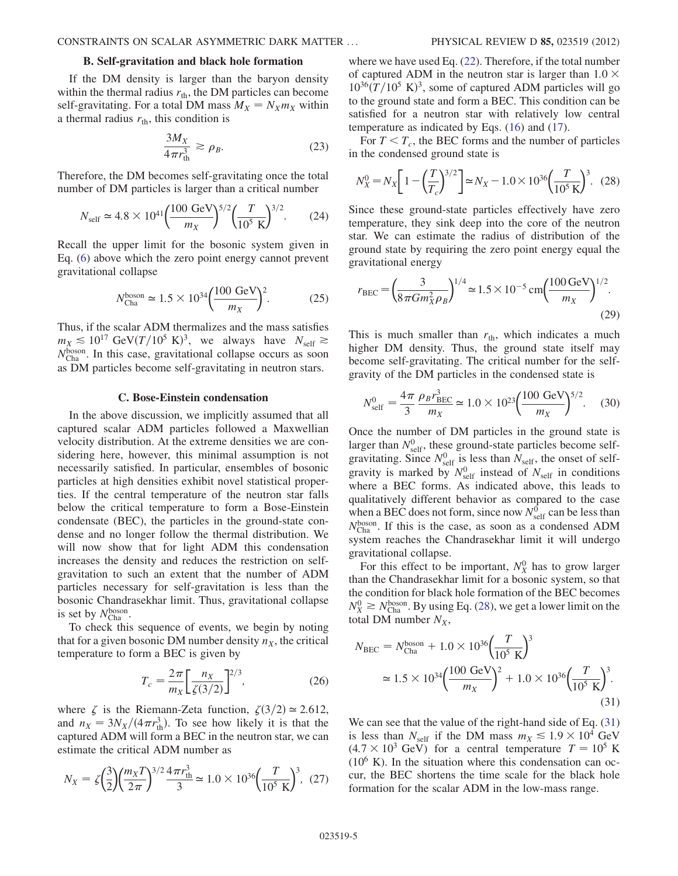## B. Self-gravitation and black hole formation

If the DM density is larger than the baryon density within the thermal radius  $r_{\text{th}}$ , the DM particles can become self-gravitating. For a total DM mass  $M_X = N_X m_X$  within a thermal radius  $r_{\text{th}}$ , this condition is

$$
\frac{3M_X}{4\pi r_{\text{th}}^3} \gtrsim \rho_B. \tag{23}
$$

<span id="page-4-3"></span>Therefore, the DM becomes self-gravitating once the total number of DM particles is larger than a critical number

$$
N_{\text{self}} \simeq 4.8 \times 10^{41} \left(\frac{100 \text{ GeV}}{m_X}\right)^{5/2} \left(\frac{T}{10^5 \text{ K}}\right)^{3/2}.
$$
 (24)

Recall the upper limit for the bosonic system given in Eq. ([6](#page-1-3)) above which the zero point energy cannot prevent gravitational collapse

$$
N_{\text{Cha}}^{\text{boson}} \simeq 1.5 \times 10^{34} \left( \frac{100 \text{ GeV}}{m_X} \right)^2. \tag{25}
$$

Thus, if the scalar ADM thermalizes and the mass satisfies  $m_X \lesssim 10^{17} \text{ GeV} (T/10^5 \text{ K})^3$ , we always have  $N_{\text{self}} \gtrsim N_{\text{self}}$  $N_{\text{Cha}}^{\text{boson}}$ . In this case, gravitational collapse occurs as soon  $\alpha$ s DM particles become self-gravitating in neutron stars as DM particles become self-gravitating in neutron stars.

#### C. Bose-Einstein condensation

In the above discussion, we implicitly assumed that all captured scalar ADM particles followed a Maxwellian velocity distribution. At the extreme densities we are considering here, however, this minimal assumption is not necessarily satisfied. In particular, ensembles of bosonic particles at high densities exhibit novel statistical properties. If the central temperature of the neutron star falls below the critical temperature to form a Bose-Einstein condensate (BEC), the particles in the ground-state condense and no longer follow the thermal distribution. We will now show that for light ADM this condensation increases the density and reduces the restriction on selfgravitation to such an extent that the number of ADM particles necessary for self-gravitation is less than the bosonic Chandrasekhar limit. Thus, gravitational collapse is set by  $N_{\text{Cha}}^{\text{boson}}$ .<br>To check this

To check this sequence of events, we begin by noting that for a given bosonic DM number density  $n<sub>X</sub>$ , the critical temperature to form a BEC is given by

$$
T_c = \frac{2\pi}{m_X} \left[ \frac{n_X}{\zeta(3/2)} \right]^{2/3},\tag{26}
$$

where  $\zeta$  is the Riemann-Zeta function,  $\zeta(3/2) \approx 2.612$ , and  $n_X = 3N_X/(4\pi r_{\text{th}}^3)$ . To see how likely it is that the cantured ADM will form a BEC in the neutron star, we can captured ADM will form a BEC in the neutron star, we can estimate the critical ADM number as

$$
N_X = \zeta \left(\frac{3}{2}\right) \left(\frac{m_X T}{2\pi}\right)^{3/2} \frac{4\pi r_{\text{th}}^3}{3} \simeq 1.0 \times 10^{36} \left(\frac{T}{10^5 \text{ K}}\right)^3, (27)
$$

where we have used Eq. [\(22\)](#page-3-4). Therefore, if the total number of captured ADM in the neutron star is larger than  $1.0 \times$  $10^{36}(T/10^5 \text{ K})^3$ , some of captured ADM particles will go to the ground state and form a BEC. This condition can be to the ground state and form a BEC. This condition can be satisfied for a neutron star with relatively low central temperature as indicated by Eqs. ([16](#page-3-5)) and [\(17\)](#page-3-6).

For  $T < T_c$ , the BEC forms and the number of particles in the condensed ground state is

<span id="page-4-0"></span>
$$
N_X^0 = N_X \left[ 1 - \left(\frac{T}{T_c}\right)^{3/2} \right] \approx N_X - 1.0 \times 10^{36} \left(\frac{T}{10^5 \text{ K}}\right)^3. \tag{28}
$$

Since these ground-state particles effectively have zero temperature, they sink deep into the core of the neutron star. We can estimate the radius of distribution of the ground state by requiring the zero point energy equal the gravitational energy

<span id="page-4-2"></span>
$$
r_{BEC} = \left(\frac{3}{8\pi G m_X^2 \rho_B}\right)^{1/4} \simeq 1.5 \times 10^{-5} \text{ cm} \left(\frac{100 \text{ GeV}}{m_X}\right)^{1/2}.
$$
\n(29)

This is much smaller than  $r_{\text{th}}$ , which indicates a much higher DM density. Thus, the ground state itself may become self-gravitating. The critical number for the selfgravity of the DM particles in the condensed state is

$$
N_{\text{self}}^0 = \frac{4\pi}{3} \frac{\rho_B r_{\text{BEC}}^3}{m_X} \simeq 1.0 \times 10^{23} \left(\frac{100 \text{ GeV}}{m_X}\right)^{5/2}.
$$
 (30)

Once the number of DM particles in the ground state is larger than  $N_{\text{self}}^{0}$ , these ground-state particles become self-<br>gravitating. Since  $N^{0}$  is less than  $N_{\text{tot}}$  the onset of selfgravitating. Since  $N_{\text{self}}^0$  is less than  $N_{\text{self}}$ , the onset of self-<br>gravity is marked by  $N^0$  instead of  $N_{\text{left}}$  in conditions gravity is marked by  $N_{\text{self}}^0$  instead of  $N_{\text{self}}$  in conditions<br>where a BEC forms. As indicated above, this leads to where a BEC forms. As indicated above, this leads to qualitatively different behavior as compared to the case when a BEC does not form, since now  $N_{\text{self}}^{0}$  can be less than  $N_{\text{boson}}^{0}$  is the case, as soon as a condensed ADM  $N_{\text{Cha}}^{\text{boson}}$ . If this is the case, as soon as a condensed ADM system reaches the Chandrasekhar limit it will undergo system reaches the Chandrasekhar limit it will undergo gravitational collapse.

For this effect to be important,  $N_X^0$  has to grow larger than the Chandrasekhar limit for a bosonic system, so that the condition for black hole formation of the BEC becomes  $N_X^0 \ge N_{\text{Cha}}^{\text{boson}}$ . By using Eq. [\(28\)](#page-4-0), we get a lower limit on the total DM number  $N_{\text{Cha}}$ . total DM number  $N_X$ ,

<span id="page-4-1"></span>
$$
N_{\text{BEC}} = N_{\text{Cha}}^{\text{boson}} + 1.0 \times 10^{36} \left(\frac{T}{10^5 \text{ K}}\right)^3
$$
  

$$
\approx 1.5 \times 10^{34} \left(\frac{100 \text{ GeV}}{m_X}\right)^2 + 1.0 \times 10^{36} \left(\frac{T}{10^5 \text{ K}}\right)^3.
$$
(31)

We can see that the value of the right-hand side of Eq.  $(31)$ is less than  $N_{\text{self}}$  if the DM mass  $m_X \le 1.9 \times 10^4$  GeV  $(4.7 \times 10^3 \text{ GeV})$  for a central temperature  $T = 10^5 \text{ K}$  $(10^6)$  K). In the situation where this condensation can occur, the BEC shortens the time scale for the black hole formation for the scalar ADM in the low-mass range.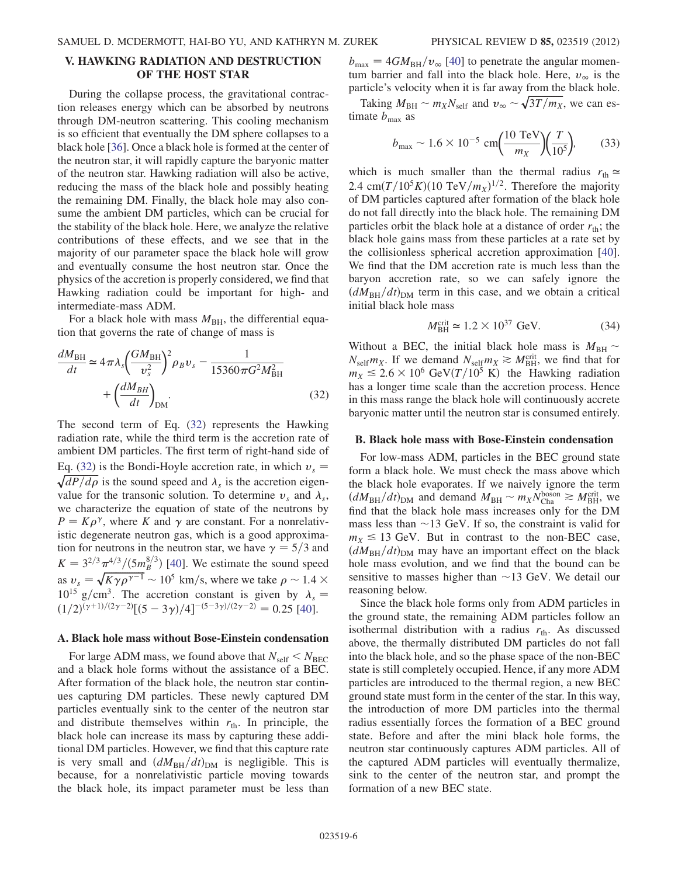# <span id="page-5-0"></span>V. HAWKING RADIATION AND DESTRUCTION OF THE HOST STAR

During the collapse process, the gravitational contraction releases energy which can be absorbed by neutrons through DM-neutron scattering. This cooling mechanism is so efficient that eventually the DM sphere collapses to a black hole [\[36\]](#page-11-0). Once a black hole is formed at the center of the neutron star, it will rapidly capture the baryonic matter of the neutron star. Hawking radiation will also be active, reducing the mass of the black hole and possibly heating the remaining DM. Finally, the black hole may also consume the ambient DM particles, which can be crucial for the stability of the black hole. Here, we analyze the relative contributions of these effects, and we see that in the majority of our parameter space the black hole will grow and eventually consume the host neutron star. Once the physics of the accretion is properly considered, we find that Hawking radiation could be important for high- and intermediate-mass ADM.

For a black hole with mass  $M_{BH}$ , the differential equation that governs the rate of change of mass is

<span id="page-5-1"></span>
$$
\frac{dM_{\text{BH}}}{dt} \simeq 4\pi\lambda_s \left(\frac{GM_{\text{BH}}}{v_s^2}\right)^2 \rho_B v_s - \frac{1}{15360\pi G^2 M_{\text{BH}}^2} + \left(\frac{dM_{BH}}{dt}\right)_{\text{DM}}.\tag{32}
$$

The second term of Eq. [\(32\)](#page-5-1) represents the Hawking radiation rate, while the third term is the accretion rate of ambient DM particles. The first term of right-hand side of Eq. ([32](#page-5-1)) is the Bondi-Hoyle accretion rate, in which  $v_s$  =  $\sqrt{dP/d\rho}$  is the sound speed and  $\lambda_s$  is the accretion eigenvalue for the transonic solution. To determine  $v_s$  and  $\lambda_s$ , we characterize the equation of state of the neutrons by  $P = K \rho^{\gamma}$ , where K and  $\gamma$  are constant. For a nonrelativistic degenerate neutron gas, which is a good approximation for neutrons in the neutron star, we have  $\gamma = 5/3$  and  $K = 3^{2/3} \pi^{4/3} / (5 m_B^{8/3})$  [[40](#page-11-3)]. We estimate the sound speed as  $v_s = \sqrt{K \gamma \rho^{\gamma-1}} \sim 10^5$  km/s, where we take  $\rho \sim 1.4 \times 10^{15}$  g/cm<sup>3</sup>. The accretion constant is given by  $\lambda =$  $10^{15}$  g/cm<sup>3</sup>. The accretion constant is given by  $\lambda_s =$  $\frac{(1/2)^{(\gamma+1)/(2\gamma-2)}}{5-3\gamma}$  $\frac{3\gamma}{4}$  $\frac{(-5-3\gamma)/(2\gamma-2)}{2\gamma-2} = 0.25$  [\[40\]](#page-11-3).

## <span id="page-5-2"></span>A. Black hole mass without Bose-Einstein condensation

For large ADM mass, we found above that  $N_{\text{self}} < N_{\text{BEC}}$ and a black hole forms without the assistance of a BEC. After formation of the black hole, the neutron star continues capturing DM particles. These newly captured DM particles eventually sink to the center of the neutron star and distribute themselves within  $r_{\text{th}}$ . In principle, the black hole can increase its mass by capturing these additional DM particles. However, we find that this capture rate is very small and  $(dM_{BH}/dt)_{DM}$  is negligible. This is because, for a nonrelativistic particle moving towards the black hole, its impact parameter must be less than  $b_{\text{max}} = 4GM_{\text{BH}}/v_{\infty}$  [[40](#page-11-3)] to penetrate the angular momentum barrier and fall into the black hole. Here,  $v_{\infty}$  is the particle's velocity when it is far away from the black hole.

Taking  $M_{\text{BH}} \sim m_X N_{\text{self}}$  and  $v_{\infty} \sim \sqrt{3T/m_X}$ , we can estimate  $b_{\text{max}}$  as

$$
b_{\text{max}} \sim 1.6 \times 10^{-5} \text{ cm} \left( \frac{10 \text{ TeV}}{m_X} \right) \left( \frac{T}{10^5} \right),
$$
 (33)

which is much smaller than the thermal radius  $r_{\text{th}} \approx$ 2.4 cm $(T/10^5 K)(10 \text{ TeV}/m_X)^{1/2}$ . Therefore the majority of DM particles captured after formation of the black hole of DM particles captured after formation of the black hole do not fall directly into the black hole. The remaining DM particles orbit the black hole at a distance of order  $r_{\text{th}}$ ; the black hole gains mass from these particles at a rate set by the collisionless spherical accretion approximation [[40\]](#page-11-3). We find that the DM accretion rate is much less than the baryon accretion rate, so we can safely ignore the  $(dM_{\text{BH}}/dt)_{\text{DM}}$  term in this case, and we obtain a critical initial black hole mass

$$
M_{\rm BH}^{\rm crit} \simeq 1.2 \times 10^{37} \text{ GeV.}
$$
 (34)

Without a BEC, the initial black hole mass is  $M_{\text{BH}} \sim N_{\text{BH}}$  or  $N_{\text{BH}}$  is the mass of the H and that for  $N_{\text{self}} m_X$ . If we demand  $N_{\text{self}} m_X \gtrsim M_{\text{BH}}^{\text{crit}}$ , we find that for  $m_V < 2.6 \times 10^6$  GeV(T/10<sup>5</sup> K), the Hawking radiation  $m_X \leq 2.6 \times 10^6$  GeV $(T/10^5$  K) the Hawking radiation has a longer time scale than the accretion process. Hence in this mass range the black hole will continuously accrete baryonic matter until the neutron star is consumed entirely.

### <span id="page-5-3"></span>B. Black hole mass with Bose-Einstein condensation

For low-mass ADM, particles in the BEC ground state form a black hole. We must check the mass above which the black hole evaporates. If we naively ignore the term  $\left(dM_{\text{BH}}/dt\right)_{\text{DM}}$  and demand  $M_{\text{BH}} \sim m_X N_{\text{Cha}}^{\text{boson}} \gtrsim M_{\text{BH}}^{\text{crit}}$ , we find that the black hole mass increases only for the DM find that the black hole mass increases only for the DM mass less than  $\sim$  13 GeV. If so, the constraint is valid for  $m_v \le 13$  GeV. But in contrast to the non-BEC case  $m_X \leq 13$  GeV. But in contrast to the non-BEC case,  $(dM_{BH}/dt)_{DM}$  may have an important effect on the black hole mass evolution, and we find that the bound can be sensitive to masses higher than  $\sim$ 13 GeV. We detail our reasoning below reasoning below.

Since the black hole forms only from ADM particles in the ground state, the remaining ADM particles follow an isothermal distribution with a radius  $r_{\text{th}}$ . As discussed above, the thermally distributed DM particles do not fall into the black hole, and so the phase space of the non-BEC state is still completely occupied. Hence, if any more ADM particles are introduced to the thermal region, a new BEC ground state must form in the center of the star. In this way, the introduction of more DM particles into the thermal radius essentially forces the formation of a BEC ground state. Before and after the mini black hole forms, the neutron star continuously captures ADM particles. All of the captured ADM particles will eventually thermalize, sink to the center of the neutron star, and prompt the formation of a new BEC state.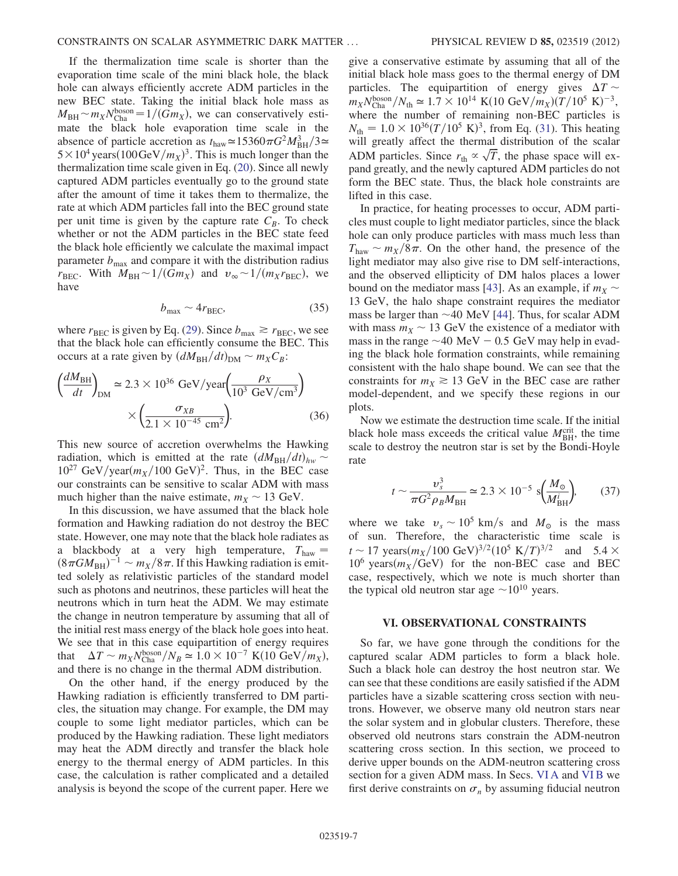If the thermalization time scale is shorter than the evaporation time scale of the mini black hole, the black hole can always efficiently accrete ADM particles in the new BEC state. Taking the initial black hole mass as  $M_{\rm BH} \sim m_X N_{\rm Cha}^{\rm boson} = 1/(Gm_X)$ , we can conservatively esti-<br>mate the black hole evaporation time scale in the mate the black hole evaporation time scale in the absence of particle accretion as  $t_{\text{haw}} \approx 15360 \pi G^2 M_{BH}^3 / 3 \approx 5 \times 10^4$  years (100 GeV /m<sub>v</sub>)<sup>3</sup>. This is much longer than the  $5 \times 10^4$  years $(100 \text{GeV}/m_X)^3$ . This is much longer than the thermalization time scale given in Eq. (20). Since all newly thermalization time scale given in Eq. ([20](#page-3-2)). Since all newly captured ADM particles eventually go to the ground state after the amount of time it takes them to thermalize, the rate at which ADM particles fall into the BEC ground state per unit time is given by the capture rate  $C_B$ . To check whether or not the ADM particles in the BEC state feed the black hole efficiently we calculate the maximal impact parameter  $b_{\text{max}}$  and compare it with the distribution radius  $r_{\text{BEC}}$ . With  $M_{\text{BH}} \sim 1/(Gm_X)$  and  $v_{\infty} \sim 1/(m_X r_{\text{BEC}})$ , we have have

$$
b_{\text{max}} \sim 4r_{\text{BEC}},\tag{35}
$$

where  $r_{BEC}$  is given by Eq. ([29](#page-4-2)). Since  $b_{\text{max}} \ge r_{BEC}$ , we see that the black hole can efficiently consume the BEC. This occurs at a rate given by  $(dM_{BH}/dt)_{DM} \sim m_X C_B$ :

$$
\left(\frac{dM_{\rm BH}}{dt}\right)_{\rm DM} \approx 2.3 \times 10^{36} \text{ GeV/year} \left(\frac{\rho_X}{10^3 \text{ GeV/cm}^3}\right) \times \left(\frac{\sigma_{XB}}{2.1 \times 10^{-45} \text{ cm}^2}\right).
$$
\n(36)

This new source of accretion overwhelms the Hawking radiation, which is emitted at the rate  $(dM_{\text{BH}}/dt)_{hw} \sim 10^{27}$  GeV/year(m<sub>u</sub>/100 GeV)<sup>2</sup>. Thus in the REC case  $10^{27}$  GeV/year $(m_X/100 \text{ GeV})^2$ . Thus, in the BEC case<br>our constraints can be sensitive to scalar ADM with mass our constraints can be sensitive to scalar ADM with mass much higher than the naive estimate,  $m_X \sim 13$  GeV.<br>In this discussion, we have assumed that the black

In this discussion, we have assumed that the black hole formation and Hawking radiation do not destroy the BEC state. However, one may note that the black hole radiates as a blackbody at a very high temperature,  $T_{\text{haw}} =$  $(8\pi GM_{BH})^{-1} \sim m_X/8\pi$ . If this Hawking radiation is emit-<br>ted, solely as relativistic particles of the standard model ted solely as relativistic particles of the standard model such as photons and neutrinos, these particles will heat the neutrons which in turn heat the ADM. We may estimate the change in neutron temperature by assuming that all of the initial rest mass energy of the black hole goes into heat. We see that in this case equipartition of energy requires that  $\Delta T \sim m_X N_{\text{b}}^{\text{boson}}/N_B \simeq 1.0 \times 10^{-7} \text{ K}(10 \text{ GeV}/m_X)$ ,<br>and there is no change in the thermal ADM distribution and there is no change in the thermal ADM distribution.

On the other hand, if the energy produced by the Hawking radiation is efficiently transferred to DM particles, the situation may change. For example, the DM may couple to some light mediator particles, which can be produced by the Hawking radiation. These light mediators may heat the ADM directly and transfer the black hole energy to the thermal energy of ADM particles. In this case, the calculation is rather complicated and a detailed analysis is beyond the scope of the current paper. Here we give a conservative estimate by assuming that all of the initial black hole mass goes to the thermal energy of DM particles. The equipartition of energy gives  $\Delta T \sim$ <br>m.  $N^{boson}/N$ .  $\approx 1.7 \times 10^{14}$  K(10 GeV/m. )(T/10<sup>5</sup> K)<sup>-3</sup>  $m_X N_{\text{Cha}}^{\text{boson}}/N_{\text{th}} \simeq 1.7 \times 10^{14} \text{ K} (10 \text{ GeV}/m_X) (T/10^5 \text{ K})^{-3}$ ,<br>where the number of remaining non-BEC particles is where the number of remaining non-BEC particles is  $N_{\text{th}} = 1.0 \times 10^{36} (T/10^5 \text{ K})^3$ , from Eq. [\(31\)](#page-4-1). This heating<br>will greatly affect the thermal distribution of the scalar will greatly affect the thermal distribution of the scalar ADM particles. Since  $r_{\text{th}} \propto \sqrt{T}$ , the phase space will ex-<br>pand greatly and the newly contured ADM particles do not pand greatly, and the newly captured ADM particles do not form the BEC state. Thus, the black hole constraints are lifted in this case.

In practice, for heating processes to occur, ADM particles must couple to light mediator particles, since the black hole can only produce particles with mass much less than  $T_{\text{haw}} \sim m_X/8\pi$ . On the other hand, the presence of the light mediator may also give rise to DM self-interactions light mediator may also give rise to DM self-interactions, and the observed ellipticity of DM halos places a lower bound on the mediator mass [[43\]](#page-11-6). As an example, if  $m_X \sim$ 13 GeV, the halo shape constraint requires the mediator mass be larger than  $\sim$ 40 MeV [[44](#page-11-7)]. Thus, for scalar ADM<br>with mass  $m_v \sim 13$  GeV the existence of a mediator with with mass  $m_X \sim 13$  GeV the existence of a mediator with mass in the range  $\sim$ 40 MeV – 0.5 GeV may beln in evadmass in the range  $\sim$ 40 MeV  $-$  0.5 GeV may help in evad-<br>ing the black hole formation constraints, while remaining ing the black hole formation constraints, while remaining consistent with the halo shape bound. We can see that the constraints for  $m_X \ge 13$  GeV in the BEC case are rather model-dependent, and we specify these regions in our plots.

Now we estimate the destruction time scale. If the initial black hole mass exceeds the critical value  $M_{\text{BH}}^{\text{crit}}$ , the time scale to destroy the neutron star is set by the Bondi-Hoyle scale to destroy the neutron star is set by the Bondi-Hoyle rate

$$
t \sim \frac{v_s^3}{\pi G^2 \rho_B M_{\text{BH}}} \simeq 2.3 \times 10^{-5} \text{ s} \Big( \frac{M_\odot}{M_{\text{BH}}^i} \Big), \qquad (37)
$$

where we take  $v_s \sim 10^5$  km/s and  $M_\odot$  is the mass<br>of sun. Therefore, the characteristic time scale is of sun. Therefore, the characteristic time scale is  $t \sim 17$  years $\left(\frac{m_X}{100 \text{ GeV}}\right)^{3/2}$  (10<sup>5</sup> K/T)<sup>3/2</sup> and 5.4  $\times$ <br>10<sup>6</sup> years( $m_V$ /GeV) for the non-BEC case and BEC  $10^6$  years $(m_X/GeV)$  for the non-BEC case and BEC case, respectively, which we note is much shorter than the typical old neutron star age  $\sim 10^{10}$  years.

## <span id="page-6-0"></span>VI. OBSERVATIONAL CONSTRAINTS

So far, we have gone through the conditions for the captured scalar ADM particles to form a black hole. Such a black hole can destroy the host neutron star. We can see that these conditions are easily satisfied if the ADM particles have a sizable scattering cross section with neutrons. However, we observe many old neutron stars near the solar system and in globular clusters. Therefore, these observed old neutrons stars constrain the ADM-neutron scattering cross section. In this section, we proceed to derive upper bounds on the ADM-neutron scattering cross section for a given ADM mass. In Secs. [VI A](#page-7-0) and [VI B](#page-8-0) we first derive constraints on  $\sigma_n$  by assuming fiducial neutron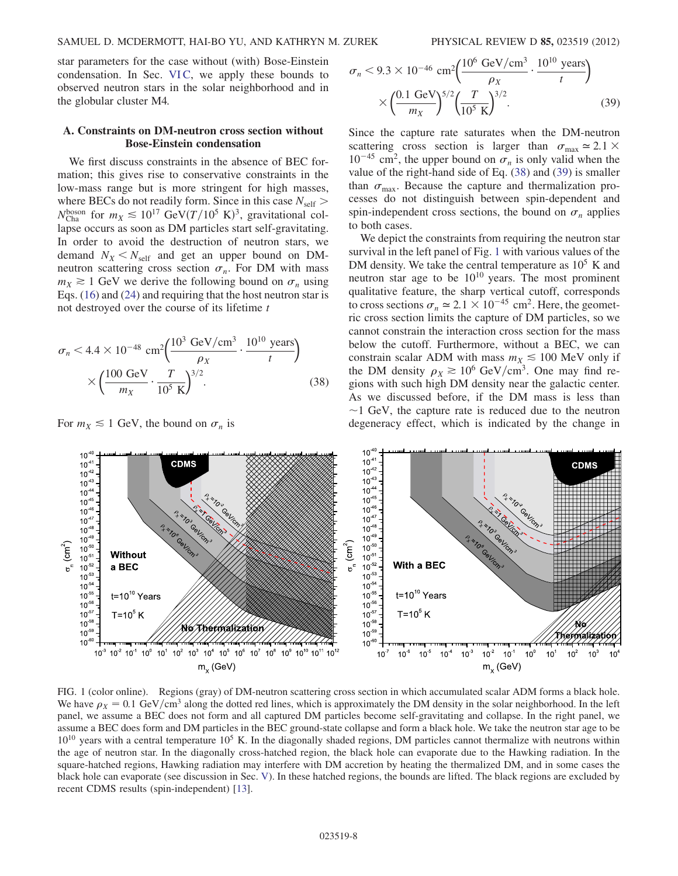star parameters for the case without (with) Bose-Einstein condensation. In Sec. [VI C](#page-8-1), we apply these bounds to observed neutron stars in the solar neighborhood and in the globular cluster M4.

## <span id="page-7-0"></span>A. Constraints on DM-neutron cross section without Bose-Einstein condensation

We first discuss constraints in the absence of BEC formation; this gives rise to conservative constraints in the low-mass range but is more stringent for high masses, where BECs do not readily form. Since in this case  $N_{\text{self}} >$  $N_{\text{Cha}}^{\text{boson}}$  for  $m_X \lesssim 10^{17} \text{ GeV} (T/10^5 \text{ K})^3$ , gravitational col-<br>lanse occurs as soon as DM particles start self-oravitating lapse occurs as soon as DM particles start self-gravitating. In order to avoid the destruction of neutron stars, we demand  $N_X < N_{\text{self}}$  and get an upper bound on DMneutron scattering cross section  $\sigma_n$ . For DM with mass  $m_X \ge 1$  GeV we derive the following bound on  $\sigma_n$  using Eqs. ([16](#page-3-5)) and ([24](#page-4-3)) and requiring that the host neutron star is not destroyed over the course of its lifetime  $t$ 

<span id="page-7-1"></span>
$$
\sigma_n < 4.4 \times 10^{-48} \text{ cm}^2 \left( \frac{10^3 \text{ GeV/cm}^3}{\rho_X} \cdot \frac{10^{10} \text{ years}}{t} \right) \\
\times \left( \frac{100 \text{ GeV}}{m_X} \cdot \frac{T}{10^5 \text{ K}} \right)^{3/2} \tag{38}
$$

For  $m_X \leq 1$  GeV, the bound on  $\sigma_n$  is

<span id="page-7-2"></span>
$$
\sigma_n < 9.3 \times 10^{-46} \, \text{cm}^2 \left( \frac{10^6 \, \text{GeV/cm}^3}{\rho_X} \cdot \frac{10^{10} \, \text{years}}{t} \right) \\
\times \left( \frac{0.1 \, \text{GeV}}{m_X} \right)^{5/2} \left( \frac{T}{10^5 \, \text{K}} \right)^{3/2}.\n\tag{39}
$$

Since the capture rate saturates when the DM-neutron scattering cross section is larger than  $\sigma_{\text{max}} \approx 2.1 \times$  $10^{-45}$  cm<sup>2</sup>, the upper bound on  $\sigma_n$  is only valid when the value of the right-hand side of Eq. ([38](#page-7-1)) and ([39](#page-7-2)) is smaller than  $\sigma_{\text{max}}$ . Because the capture and thermalization processes do not distinguish between spin-dependent and spin-independent cross sections, the bound on  $\sigma_n$  applies to both cases.

We depict the constraints from requiring the neutron star survival in the left panel of Fig. [1](#page-7-3) with various values of the DM density. We take the central temperature as  $10^5$  K and neutron star age to be  $10^{10}$  years. The most prominent qualitative feature, the sharp vertical cutoff, corresponds to cross sections  $\sigma_n \simeq 2.1 \times 10^{-45}$  cm<sup>2</sup>. Here, the geometric cross section limits the capture of DM particles, so we cannot constrain the interaction cross section for the mass below the cutoff. Furthermore, without a BEC, we can constrain scalar ADM with mass  $m_X \le 100$  MeV only if the DM density  $\rho_X \ge 10^6$  GeV/cm<sup>3</sup>. One may find re-<br>gions with such high DM density near the galactic center gions with such high DM density near the galactic center. As we discussed before, if the DM mass is less than  $\sim$ 1 GeV, the capture rate is reduced due to the neutron degeneracy effect which is indicated by the change in degeneracy effect, which is indicated by the change in

<span id="page-7-3"></span>

FIG. 1 (color online). Regions (gray) of DM-neutron scattering cross section in which accumulated scalar ADM forms a black hole. We have  $\rho_X = 0.1 \text{ GeV/cm}^3$  along the dotted red lines, which is approximately the DM density in the solar neighborhood. In the left<br>panel, we assume a BEC does not form and all cantured DM particles become self-gravitati panel, we assume a BEC does not form and all captured DM particles become self-gravitating and collapse. In the right panel, we assume a BEC does form and DM particles in the BEC ground-state collapse and form a black hole. We take the neutron star age to be  $10^{10}$  years with a central temperature  $10^5$  K. In the diagonally shaded regions, DM particles cannot thermalize with neutrons within the age of neutron star. In the diagonally cross-hatched region, the black hole can evaporate due to the Hawking radiation. In the square-hatched regions, Hawking radiation may interfere with DM accretion by heating the thermalized DM, and in some cases the black hole can evaporate (see discussion in Sec. [V\)](#page-5-0). In these hatched regions, the bounds are lifted. The black regions are excluded by recent CDMS results (spin-independent) [[13](#page-10-11)].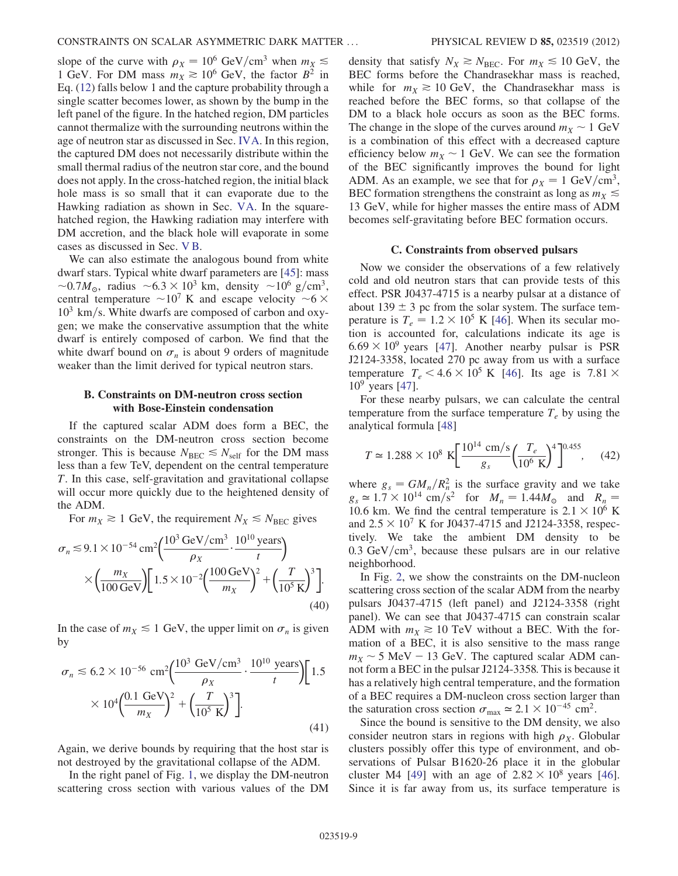slope of the curve with  $\rho_X = 10^6$  GeV/cm<sup>3</sup> when  $m_X \le 1$  GeV. For DM mass  $m_X \ge 10^6$  GeV, the factor  $R^2$  in 1 GeV. For DM mass  $m_X \ge 10^6$  GeV, the factor  $B^2$  in Eq. ([12](#page-2-0)) falls below 1 and the capture probability through a single scatter becomes lower, as shown by the bump in the left panel of the figure. In the hatched region, DM particles cannot thermalize with the surrounding neutrons within the age of neutron star as discussed in Sec. [IVA](#page-3-7). In this region, the captured DM does not necessarily distribute within the small thermal radius of the neutron star core, and the bound does not apply. In the cross-hatched region, the initial black hole mass is so small that it can evaporate due to the Hawking radiation as shown in Sec. [VA.](#page-5-2) In the squarehatched region, the Hawking radiation may interfere with DM accretion, and the black hole will evaporate in some cases as discussed in Sec. [V B](#page-5-3).

We can also estimate the analogous bound from white dwarf stars. Typical white dwarf parameters are [[45](#page-11-8)]: mass ~0.7 $M_{\odot}$ , radius ~6.3 × 10<sup>3</sup> km, density ~10<sup>6</sup> g/cm<sup>3</sup>,<br>central temperature ~10<sup>7</sup> K and escape velocity ~6 × central temperature  $\sim 10^7$  K and escape velocity  $\sim$  10<sup>3</sup> km/s. White dwarfs are composed of carbon and o 6 X<br>- פא  $10<sup>3</sup>$  km/s. White dwarfs are composed of carbon and oxy-<br>gen: we make the conservative assumption that the white gen; we make the conservative assumption that the white dwarf is entirely composed of carbon. We find that the white dwarf bound on  $\sigma_n$  is about 9 orders of magnitude weaker than the limit derived for typical neutron stars.

## <span id="page-8-0"></span>B. Constraints on DM-neutron cross section with Bose-Einstein condensation

If the captured scalar ADM does form a BEC, the constraints on the DM-neutron cross section become stronger. This is because  $N_{BEC} \leq N_{self}$  for the DM mass less than a few TeV, dependent on the central temperature T. In this case, self-gravitation and gravitational collapse will occur more quickly due to the heightened density of the ADM.

For  $m_X \ge 1$  GeV, the requirement  $N_X \le N_{BEC}$  gives

$$
\sigma_n \le 9.1 \times 10^{-54} \text{ cm}^2 \left( \frac{10^3 \text{ GeV/cm}^3}{\rho_X} \cdot \frac{10^{10} \text{ years}}{t} \right)
$$

$$
\times \left( \frac{m_X}{100 \text{ GeV}} \right) \left[ 1.5 \times 10^{-2} \left( \frac{100 \text{ GeV}}{m_X} \right)^2 + \left( \frac{T}{10^5 \text{ K}} \right)^3 \right].
$$
(40)

In the case of  $m_X \leq 1$  GeV, the upper limit on  $\sigma_n$  is given by

$$
\sigma_n \le 6.2 \times 10^{-56} \text{ cm}^2 \bigg( \frac{10^3 \text{ GeV/cm}^3}{\rho_X} \cdot \frac{10^{10} \text{ years}}{t} \bigg) \bigg[ 1.5 \times 10^4 \bigg( \frac{0.1 \text{ GeV}}{m_X} \bigg)^2 + \bigg( \frac{T}{10^5 \text{ K}} \bigg)^3 \bigg].
$$
\n(41)

Again, we derive bounds by requiring that the host star is not destroyed by the gravitational collapse of the ADM.

In the right panel of Fig. [1,](#page-7-3) we display the DM-neutron scattering cross section with various values of the DM density that satisfy  $N_X \gtrsim N_{BEC}$ . For  $m_X \lesssim 10$  GeV, the BEC forms before the Chandrasekhar mass is reached, while for  $m_X \ge 10$  GeV, the Chandrasekhar mass is reached before the BEC forms, so that collapse of the DM to a black hole occurs as soon as the BEC forms. The change in the slope of the curves around  $m<sub>X</sub> \sim 1$  GeV is a combination of this effect with a decreased capture efficiency below  $m_X \sim 1$  GeV. We can see the formation<br>of the BEC significantly improves the bound for light of the BEC significantly improves the bound for light ADM. As an example, we see that for  $\rho_X = 1 \text{ GeV/cm}^3$ ,<br>REC formation strengthens the constraint as long as  $m_V \leq$ BEC formation strengthens the constraint as long as  $m<sub>X</sub> \le$ 13 GeV, while for higher masses the entire mass of ADM becomes self-gravitating before BEC formation occurs.

### C. Constraints from observed pulsars

<span id="page-8-1"></span>Now we consider the observations of a few relatively cold and old neutron stars that can provide tests of this effect. PSR J0437-4715 is a nearby pulsar at a distance of about 139  $\pm$  3 pc from the solar system. The surface tem-<br>perature is  $T = 1.2 \times 10^5$  K [46]. When its secular moperature is  $T_e = 1.2 \times 10^5$  K [\[46\]](#page-11-9). When its secular motion is accounted for, calculations indicate its age is  $6.69 \times 10^9$  years [[47](#page-11-10)]. Another nearby pulsar is PSR J2124-3358, located 270 pc away from us with a surface temperature  $T_e < 4.6 \times 10^5$  K [[46](#page-11-9)]. Its age is 7.81  $\times$  $10^9$  years [[47](#page-11-10)].

For these nearby pulsars, we can calculate the central temperature from the surface temperature  $T_e$  by using the analytical formula [[48](#page-11-11)]

$$
T \simeq 1.288 \times 10^8 \text{ K} \left[ \frac{10^{14} \text{ cm/s}}{g_s} \left( \frac{T_e}{10^6 \text{ K}} \right)^4 \right]^{0.455}, \quad (42)
$$

where  $g_s = GM_n/R_n^2$  is the surface gravity and we take  $g_s \approx 1.7 \times 10^{14}$  cm/s<sup>2</sup> for  $M_n = 1.44M_{\odot}$  and  $R_n =$ 10.6 km. We find the central temperature is  $2.1 \times 10^6$  K and  $2.5 \times 10^7$  K for J0437-4715 and J2124-3358, respectively. We take the ambient DM density to be  $0.3 \text{ GeV/cm}^3$ , because these pulsars are in our relative neighborhood.

In Fig. [2](#page-9-1), we show the constraints on the DM-nucleon scattering cross section of the scalar ADM from the nearby pulsars J0437-4715 (left panel) and J2124-3358 (right panel). We can see that J0437-4715 can constrain scalar ADM with  $m_X \ge 10$  TeV without a BEC. With the formation of a BEC, it is also sensitive to the mass range  $m_X \sim 5$  MeV  $- 13$  GeV. The captured scalar ADM can-<br>not form a BEC in the pulsar I2124-3358. This is because it not form a BEC in the pulsar J2124-3358. This is because it has a relatively high central temperature, and the formation of a BEC requires a DM-nucleon cross section larger than the saturation cross section  $\sigma_{\text{max}} \approx 2.1 \times 10^{-45} \text{ cm}^2$ .

Since the bound is sensitive to the DM density, we also consider neutron stars in regions with high  $\rho_X$ . Globular clusters possibly offer this type of environment, and observations of Pulsar B1620-26 place it in the globular cluster M4 [\[49\]](#page-11-12) with an age of  $2.82 \times 10^8$  years [[46\]](#page-11-9). Since it is far away from us, its surface temperature is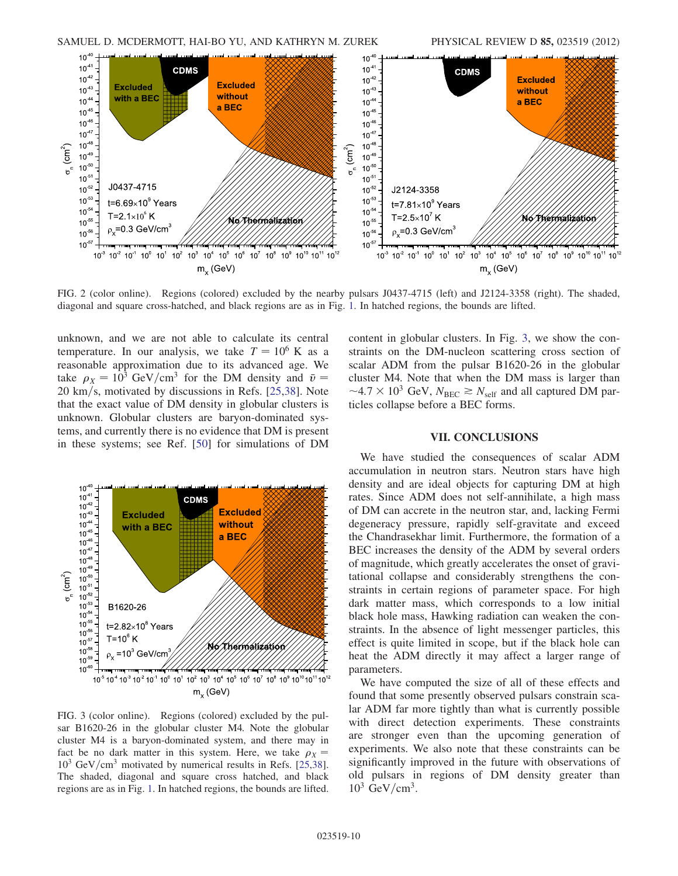<span id="page-9-1"></span>

FIG. 2 (color online). Regions (colored) excluded by the nearby pulsars J0437-4715 (left) and J2124-3358 (right). The shaded, diagonal and square cross-hatched, and black regions are as in Fig. [1.](#page-7-3) In hatched regions, the bounds are lifted.

unknown, and we are not able to calculate its central temperature. In our analysis, we take  $T = 10^6$  K as a reasonable approximation due to its advanced age. We take  $\rho_X = 10^3$  GeV/cm<sup>3</sup> for the DM density and  $\bar{v} = 20$  km/s motivated by discussions in Refs [25.38]. Note  $20 \text{ km/s}$ , motivated by discussions in Refs. [[25](#page-10-19),[38](#page-11-1)]. Note that the exact value of DM density in globular clusters is unknown. Globular clusters are baryon-dominated systems, and currently there is no evidence that DM is present in these systems; see Ref. [\[50\]](#page-11-13) for simulations of DM

<span id="page-9-2"></span>

FIG. 3 (color online). Regions (colored) excluded by the pulsar B1620-26 in the globular cluster M4. Note the globular cluster M4 is a baryon-dominated system, and there may in fact be no dark matter in this system. Here, we take  $\rho_X =$  $10^3$  GeV/cm<sup>3</sup> motivated by numerical results in Refs. [\[25,](#page-10-19)[38\]](#page-11-1). The shaded, diagonal and square cross hatched, and black regions are as in Fig. [1.](#page-7-3) In hatched regions, the bounds are lifted.

content in globular clusters. In Fig. [3,](#page-9-2) we show the constraints on the DM-nucleon scattering cross section of scalar ADM from the pulsar B1620-26 in the globular cluster M4. Note that when the DM mass is larger than  $\sim$ 4.7  $\times$  10<sup>3</sup> GeV,  $N_{\text{BEC}} \gtrsim N_{\text{self}}$  and all captured DM particles collanse before a REC forms ticles collapse before a BEC forms.

## VII. CONCLUSIONS

<span id="page-9-0"></span>We have studied the consequences of scalar ADM accumulation in neutron stars. Neutron stars have high density and are ideal objects for capturing DM at high rates. Since ADM does not self-annihilate, a high mass of DM can accrete in the neutron star, and, lacking Fermi degeneracy pressure, rapidly self-gravitate and exceed the Chandrasekhar limit. Furthermore, the formation of a BEC increases the density of the ADM by several orders of magnitude, which greatly accelerates the onset of gravitational collapse and considerably strengthens the constraints in certain regions of parameter space. For high dark matter mass, which corresponds to a low initial black hole mass, Hawking radiation can weaken the constraints. In the absence of light messenger particles, this effect is quite limited in scope, but if the black hole can heat the ADM directly it may affect a larger range of parameters.

We have computed the size of all of these effects and found that some presently observed pulsars constrain scalar ADM far more tightly than what is currently possible with direct detection experiments. These constraints are stronger even than the upcoming generation of experiments. We also note that these constraints can be significantly improved in the future with observations of old pulsars in regions of DM density greater than  $10^3$  GeV/cm<sup>3</sup>.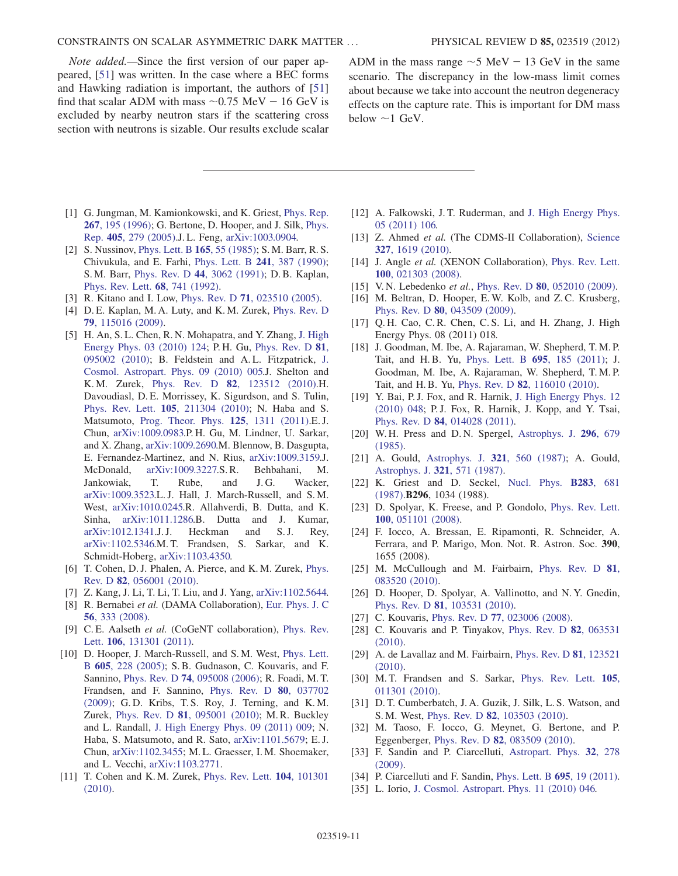Note added.—Since the first version of our paper appeared, [\[51\]](#page-11-14) was written. In the case where a BEC forms and Hawking radiation is important, the authors of [\[51\]](#page-11-14) find that scalar ADM with mass  $\sim 0.75$  MeV  $- 16$  GeV is excluded by nearby neutron stars if the scattering cross excluded by nearby neutron stars if the scattering cross section with neutrons is sizable. Our results exclude scalar

ADM in the mass range  $\sim$  5 MeV  $-$  13 GeV in the same<br>scenario. The discrepancy in the low-mass limit comes scenario. The discrepancy in the low-mass limit comes about because we take into account the neutron degeneracy effects on the capture rate. This is important for DM mass below  $\sim$ 1 GeV.

- <span id="page-10-0"></span>[1] G. Jungman, M. Kamionkowski, and K. Griest, *[Phys. Rep.](http://dx.doi.org/10.1016/0370-1573(95)00058-5)* 267[, 195 \(1996\);](http://dx.doi.org/10.1016/0370-1573(95)00058-5) G. Bertone, D. Hooper, and J. Silk, [Phys.](http://dx.doi.org/10.1016/j.physrep.2004.08.031) Rep. 405[, 279 \(2005\).](http://dx.doi.org/10.1016/j.physrep.2004.08.031)J. L. Feng, [arXiv:1003.0904.](http://arXiv.org/abs/1003.0904)
- <span id="page-10-1"></span>[2] S. Nussinov, [Phys. Lett. B](http://dx.doi.org/10.1016/0370-2693(85)90689-6) 165, 55 (1985); S. M. Barr, R. S. Chivukula, and E. Farhi, [Phys. Lett. B](http://dx.doi.org/10.1016/0370-2693(90)91661-T) 241, 387 (1990); S. M. Barr, Phys. Rev. D 44[, 3062 \(1991\);](http://dx.doi.org/10.1103/PhysRevD.44.3062) D. B. Kaplan, [Phys. Rev. Lett.](http://dx.doi.org/10.1103/PhysRevLett.68.741) 68, 741 (1992).
- <span id="page-10-2"></span>[3] R. Kitano and I. Low, Phys. Rev. D 71[, 023510 \(2005\).](http://dx.doi.org/10.1103/PhysRevD.71.023510)
- <span id="page-10-3"></span>[4] D. E. Kaplan, M. A. Luty, and K. M. Zurek, [Phys. Rev. D](http://dx.doi.org/10.1103/PhysRevD.79.115016) 79[, 115016 \(2009\)](http://dx.doi.org/10.1103/PhysRevD.79.115016).
- <span id="page-10-4"></span>[5] H. An, S. L. Chen, R. N. Mohapatra, and Y. Zhang, [J. High](http://dx.doi.org/10.1007/JHEP03(2010)124) [Energy Phys. 03 \(2010\) 124](http://dx.doi.org/10.1007/JHEP03(2010)124); P. H. Gu, [Phys. Rev. D](http://dx.doi.org/10.1103/PhysRevD.81.095002) 81, [095002 \(2010\)](http://dx.doi.org/10.1103/PhysRevD.81.095002); B. Feldstein and A. L. Fitzpatrick, [J.](http://dx.doi.org/10.1088/1475-7516/2010/09/005) [Cosmol. Astropart. Phys. 09 \(2010\) 005.](http://dx.doi.org/10.1088/1475-7516/2010/09/005)J. Shelton and K. M. Zurek, Phys. Rev. D 82[, 123512 \(2010\).](http://dx.doi.org/10.1103/PhysRevD.82.123512)H. Davoudiasl, D. E. Morrissey, K. Sigurdson, and S. Tulin, Phys. Rev. Lett. 105[, 211304 \(2010\);](http://dx.doi.org/10.1103/PhysRevLett.105.211304) N. Haba and S. Matsumoto, [Prog. Theor. Phys.](http://dx.doi.org/10.1143/PTP.125.1311) 125, 1311 (2011).E. J. Chun, [arXiv:1009.0983.](http://arXiv.org/abs/1009.0983)P. H. Gu, M. Lindner, U. Sarkar, and X. Zhang, [arXiv:1009.2690.](http://arXiv.org/abs/1009.2690)M. Blennow, B. Dasgupta, E. Fernandez-Martinez, and N. Rius, [arXiv:1009.3159.](http://arXiv.org/abs/1009.3159)J. McDonald, [arXiv:1009.3227.](http://arXiv.org/abs/1009.3227)S. R. Behbahani, M. Jankowiak, T. Rube, and J.G. Wacker, [arXiv:1009.3523.](http://arXiv.org/abs/1009.3523)L. J. Hall, J. March-Russell, and S. M. West, [arXiv:1010.0245.](http://arXiv.org/abs/1010.0245)R. Allahverdi, B. Dutta, and K. Sinha, [arXiv:1011.1286.](http://arXiv.org/abs/1011.1286)B. Dutta and J. Kumar, [arXiv:1012.1341.](http://arXiv.org/abs/1012.1341)J.J. Heckman and S.J. Rey, [arXiv:1102.5346.](http://arXiv.org/abs/1102.5346)M. T. Frandsen, S. Sarkar, and K. Schmidt-Hoberg, [arXiv:1103.4350.](http://arXiv.org/abs/1103.4350)
- <span id="page-10-27"></span>[6] T. Cohen, D. J. Phalen, A. Pierce, and K. M. Zurek, [Phys.](http://dx.doi.org/10.1103/PhysRevD.82.056001) Rev. D 82[, 056001 \(2010\)](http://dx.doi.org/10.1103/PhysRevD.82.056001).
- <span id="page-10-6"></span><span id="page-10-5"></span>[7] Z. Kang, J. Li, T. Li, T. Liu, and J. Yang, [arXiv:1102.5644.](http://arXiv.org/abs/1102.5644)
- [8] R. Bernabei et al. (DAMA Collaboration), [Eur. Phys. J. C](http://dx.doi.org/10.1140/epjc/s10052-008-0662-y) 56[, 333 \(2008\)](http://dx.doi.org/10.1140/epjc/s10052-008-0662-y).
- <span id="page-10-7"></span>[9] C. E. Aalseth et al. (CoGeNT collaboration), [Phys. Rev.](http://dx.doi.org/10.1103/PhysRevLett.106.131301) Lett. 106[, 131301 \(2011\).](http://dx.doi.org/10.1103/PhysRevLett.106.131301)
- <span id="page-10-8"></span>[10] D. Hooper, J. March-Russell, and S.M. West, [Phys. Lett.](http://dx.doi.org/10.1016/j.physletb.2004.11.047) B 605[, 228 \(2005\);](http://dx.doi.org/10.1016/j.physletb.2004.11.047) S. B. Gudnason, C. Kouvaris, and F. Sannino, Phys. Rev. D 74[, 095008 \(2006\)](http://dx.doi.org/10.1103/PhysRevD.74.095008); R. Foadi, M. T. Frandsen, and F. Sannino, [Phys. Rev. D](http://dx.doi.org/10.1103/PhysRevD.80.037702) 80, 037702 [\(2009\)](http://dx.doi.org/10.1103/PhysRevD.80.037702); G. D. Kribs, T. S. Roy, J. Terning, and K. M. Zurek, Phys. Rev. D 81[, 095001 \(2010\)](http://dx.doi.org/10.1103/PhysRevD.81.095001); M. R. Buckley and L. Randall, [J. High Energy Phys. 09 \(2011\) 009;](http://dx.doi.org/10.1007/JHEP09(2011)009) N. Haba, S. Matsumoto, and R. Sato, [arXiv:1101.5679;](http://arXiv.org/abs/1101.5679) E. J. Chun, [arXiv:1102.3455](http://arXiv.org/abs/1102.3455); M. L. Graesser, I. M. Shoemaker, and L. Vecchi, [arXiv:1103.2771.](http://arXiv.org/abs/1103.2771)
- <span id="page-10-9"></span>[11] T. Cohen and K. M. Zurek, [Phys. Rev. Lett.](http://dx.doi.org/10.1103/PhysRevLett.104.101301) **104**, 101301 [\(2010\)](http://dx.doi.org/10.1103/PhysRevLett.104.101301).
- <span id="page-10-10"></span>[12] A. Falkowski, J. T. Ruderman, and [J. High Energy Phys.](http://dx.doi.org/10.1007/JHEP05(2011)106) [05 \(2011\) 106.](http://dx.doi.org/10.1007/JHEP05(2011)106)
- <span id="page-10-11"></span>[13] Z. Ahmed et al. (The CDMS-II Collaboration), [Science](http://dx.doi.org/10.1126/science.1186112) 327[, 1619 \(2010\).](http://dx.doi.org/10.1126/science.1186112)
- [14] J. Angle et al. (XENON Collaboration), [Phys. Rev. Lett.](http://dx.doi.org/10.1103/PhysRevLett.100.021303) 100[, 021303 \(2008\)](http://dx.doi.org/10.1103/PhysRevLett.100.021303).
- <span id="page-10-13"></span><span id="page-10-12"></span>[15] V. N. Lebedenko et al., Phys. Rev. D 80[, 052010 \(2009\).](http://dx.doi.org/10.1103/PhysRevD.80.052010)
- [16] M. Beltran, D. Hooper, E.W. Kolb, and Z.C. Krusberg, Phys. Rev. D 80[, 043509 \(2009\).](http://dx.doi.org/10.1103/PhysRevD.80.043509)
- [17] Q. H. Cao, C. R. Chen, C. S. Li, and H. Zhang, J. High Energy Phys. 08 (2011) 018.
- [18] J. Goodman, M. Ibe, A. Rajaraman, W. Shepherd, T. M. P. Tait, and H. B. Yu, [Phys. Lett. B](http://dx.doi.org/10.1016/j.physletb.2010.11.009) 695, 185 (2011); J. Goodman, M. Ibe, A. Rajaraman, W. Shepherd, T. M. P. Tait, and H. B. Yu, Phys. Rev. D 82[, 116010 \(2010\)](http://dx.doi.org/10.1103/PhysRevD.82.116010).
- <span id="page-10-14"></span>[19] Y. Bai, P.J. Fox, and R. Harnik, [J. High Energy Phys. 12](http://dx.doi.org/10.1007/JHEP12(2010)048) [\(2010\) 048](http://dx.doi.org/10.1007/JHEP12(2010)048); P. J. Fox, R. Harnik, J. Kopp, and Y. Tsai, Phys. Rev. D 84[, 014028 \(2011\).](http://dx.doi.org/10.1103/PhysRevD.84.014028)
- <span id="page-10-15"></span>[20] W. H. Press and D. N. Spergel, [Astrophys. J.](http://dx.doi.org/10.1086/163485) 296, 679 [\(1985\)](http://dx.doi.org/10.1086/163485).
- <span id="page-10-28"></span>[21] A. Gould, Astrophys. J. **321**[, 560 \(1987\);](http://dx.doi.org/10.1086/165652) A. Gould, [Astrophys. J.](http://dx.doi.org/10.1086/165653) 321, 571 (1987).
- <span id="page-10-16"></span>[22] K. Griest and D. Seckel, [Nucl. Phys.](http://dx.doi.org/10.1016/0550-3213(87)90293-8) **B283**, 681 [\(1987\)](http://dx.doi.org/10.1016/0550-3213(87)90293-8).B296, 1034 (1988).
- <span id="page-10-17"></span>[23] D. Spolyar, K. Freese, and P. Gondolo, [Phys. Rev. Lett.](http://dx.doi.org/10.1103/PhysRevLett.100.051101) 100[, 051101 \(2008\)](http://dx.doi.org/10.1103/PhysRevLett.100.051101).
- <span id="page-10-18"></span>[24] F. Iocco, A. Bressan, E. Ripamonti, R. Schneider, A. Ferrara, and P. Marigo, Mon. Not. R. Astron. Soc. 390, 1655 (2008).
- <span id="page-10-19"></span>[25] M. McCullough and M. Fairbairn, [Phys. Rev. D](http://dx.doi.org/10.1103/PhysRevD.81.083520) 81, [083520 \(2010\).](http://dx.doi.org/10.1103/PhysRevD.81.083520)
- <span id="page-10-20"></span>[26] D. Hooper, D. Spolyar, A. Vallinotto, and N.Y. Gnedin, Phys. Rev. D 81[, 103531 \(2010\).](http://dx.doi.org/10.1103/PhysRevD.81.103531)
- <span id="page-10-21"></span>[27] C. Kouvaris, Phys. Rev. D **77**[, 023006 \(2008\)](http://dx.doi.org/10.1103/PhysRevD.77.023006).
- [28] C. Kouvaris and P. Tinyakov, [Phys. Rev. D](http://dx.doi.org/10.1103/PhysRevD.82.063531) **82**, 063531 [\(2010\)](http://dx.doi.org/10.1103/PhysRevD.82.063531).
- <span id="page-10-22"></span>[29] A. de Lavallaz and M. Fairbairn, [Phys. Rev. D](http://dx.doi.org/10.1103/PhysRevD.81.123521) 81, 123521 [\(2010\)](http://dx.doi.org/10.1103/PhysRevD.81.123521).
- <span id="page-10-23"></span>[30] M.T. Frandsen and S. Sarkar, [Phys. Rev. Lett.](http://dx.doi.org/10.1103/PhysRevLett.105.011301) **105**, [011301 \(2010\).](http://dx.doi.org/10.1103/PhysRevLett.105.011301)
- <span id="page-10-24"></span>[31] D. T. Cumberbatch, J. A. Guzik, J. Silk, L. S. Watson, and S. M. West, Phys. Rev. D 82[, 103503 \(2010\)](http://dx.doi.org/10.1103/PhysRevD.82.103503).
- <span id="page-10-25"></span>[32] M. Taoso, F. Iocco, G. Meynet, G. Bertone, and P. Eggenberger, Phys. Rev. D 82[, 083509 \(2010\)](http://dx.doi.org/10.1103/PhysRevD.82.083509).
- [33] F. Sandin and P. Ciarcelluti, [Astropart. Phys.](http://dx.doi.org/10.1016/j.astropartphys.2009.09.005) 32, 278 [\(2009\)](http://dx.doi.org/10.1016/j.astropartphys.2009.09.005).
- <span id="page-10-26"></span>[34] P. Ciarcelluti and F. Sandin, [Phys. Lett. B](http://dx.doi.org/10.1016/j.physletb.2010.11.021) **695**, 19 (2011).
- [35] L. Iorio, [J. Cosmol. Astropart. Phys. 11 \(2010\) 046.](http://dx.doi.org/10.1088/1475-7516/2010/11/046)